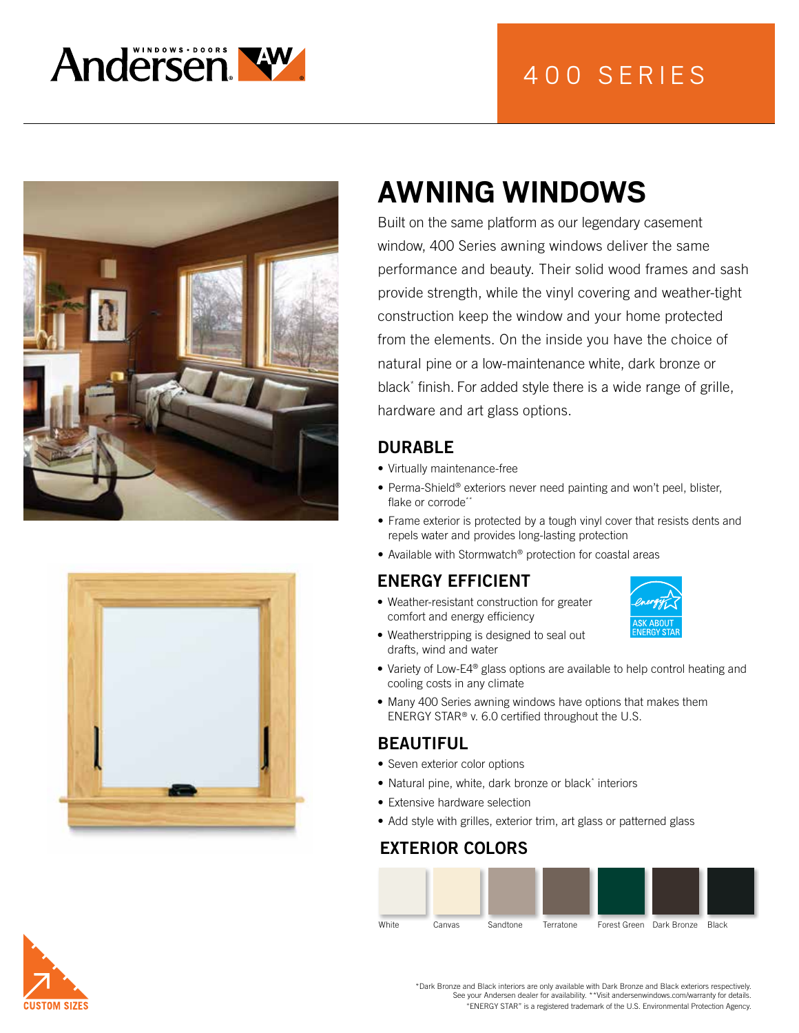





# **AWNING WINDOWS**

Built on the same platform as our legendary casement window, 400 Series awning windows deliver the same performance and beauty. Their solid wood frames and sash provide strength, while the vinyl covering and weather-tight construction keep the window and your home protected from the elements. On the inside you have the choice of natural pine or a low-maintenance white, dark bronze or black\* finish. For added style there is a wide range of grille, hardware and art glass options.

#### DURABLE

- Virtually maintenance-free
- Perma-Shield® exteriors never need painting and won't peel, blister, flake or corrode\*\*
- Frame exterior is protected by a tough vinyl cover that resists dents and repels water and provides long-lasting protection
- Available with Stormwatch® protection for coastal areas

## ENERGY EFFICIENT

- Weather-resistant construction for greater comfort and energy efficiency
- Weatherstripping is designed to seal out drafts, wind and water
- Variety of Low-E4<sup>®</sup> glass options are available to help control heating and cooling costs in any climate
- Many 400 Series awning windows have options that makes them ENERGY STAR® v. 6.0 certified throughout the U.S.

#### BEAUTIFUL

- Seven exterior color options
- Natural pine, white, dark bronze or black\* interiors
- Extensive hardware selection
- Add style with grilles, exterior trim, art glass or patterned glass

### EXTERIOR COLORS





\*Dark Bronze and Black interiors are only available with Dark Bronze and Black exteriors respectively. See your Andersen dealer for availability. \*\*Visit andersenwindows.com/warranty for details. "ENERGY STAR" is a registered trademark of the U.S. Environmental Protection Agency.